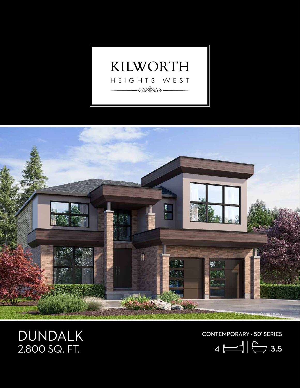



## DUNDALK<br>2,800 SQ. FT.

CONTEMPORARY • 50' SERIES

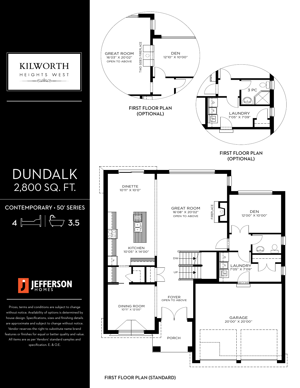

FIRST FLOOR PLAN (STANDARD)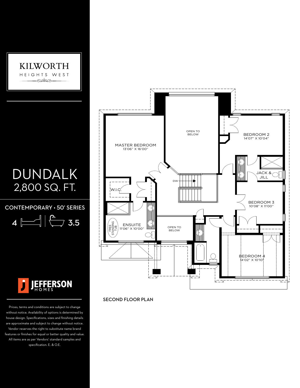

## DUNDALK 2,800 SQ. FT.

CONTEMPORARY • 50' SERIES

4 3.5



Prices, terms and conditions are subject to change without notice. Availability of options is determined by house design. Specifications, sizes and finishing details are approximate and subject to change without notice. Vendor reserves the right to substitute name brand features or finishes for equal or better quality and value. All items are as per Vendors' standard samples and specification. E. & O.E.



SECOND FLOOR PLAN